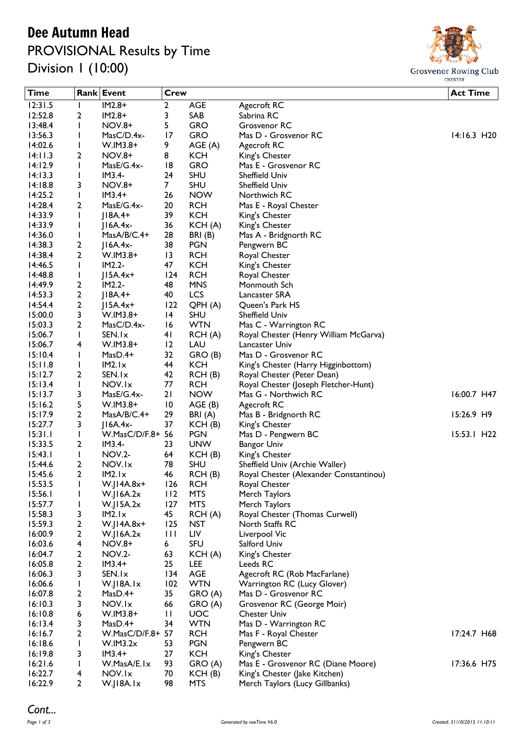## Dee Autumn Head

PROVISIONAL Results by Time Division 1 (10:00)



| <b>Time</b>        |                   | Rank Event            | <b>Crew</b>     |                      |                                                                 | <b>Act Time</b> |
|--------------------|-------------------|-----------------------|-----------------|----------------------|-----------------------------------------------------------------|-----------------|
| 12:31.5            | $\mathbf{I}$      | $IM2.8+$              | 2               | <b>AGE</b>           | Agecroft RC                                                     |                 |
| 12:52.8            | 2                 | $IM2.8+$              | 3               | SAB                  | Sabrina RC                                                      |                 |
| 13:48.4            | I                 | <b>NOV.8+</b>         | 5.              | <b>GRO</b>           | Grosvenor RC                                                    |                 |
| 13:56.3            | I                 | MasC/D.4x-            | 17              | <b>GRO</b>           | Mas D - Grosvenor RC                                            | 14:16.3 H20     |
| 14:02.6            | I                 | $W.IM3.8+$            | 9               | AGE(A)               | Agecroft RC                                                     |                 |
| 14:11.3            | 2                 | <b>NOV.8+</b>         | 8               | <b>KCH</b>           | King's Chester                                                  |                 |
| 14:12.9            | $\mathbf{I}$      | $MasE/G.4x-$          | 18              | <b>GRO</b>           | Mas E - Grosvenor RC                                            |                 |
| 14:13.3            | J.                | $IM3.4-$              | 24              | <b>SHU</b>           | Sheffield Univ                                                  |                 |
| 14:18.8            | 3                 | NOV.8+                | 7 <sup>1</sup>  | <b>SHU</b>           | Sheffield Univ                                                  |                 |
| 14:25.2            | $\mathbf{I}$      | $IM3.4+$              | 26              | <b>NOW</b>           | Northwich RC                                                    |                 |
| 14:28.4            | 2                 | $MasE/G.4x-$          | 20              | <b>RCH</b>           | Mas E - Royal Chester                                           |                 |
| 14:33.9            | I                 | $ 18A.4+$             | 39              | <b>KCH</b>           | King's Chester                                                  |                 |
| 14:33.9            | $\mathsf{l}$      | $J16A.4x-$            | 36              | KCH(A)               | King's Chester                                                  |                 |
| 14:36.0            | I                 | MasA/B/C.4+           | 28              | BRI(B)               | Mas A - Bridgnorth RC                                           |                 |
| 14:38.3            | 2                 | $ I6A.4x-$            | 38              | <b>PGN</b>           | Pengwern BC                                                     |                 |
| 14:38.4            | $\overline{2}$    | $W.IM3.8+$            | $\overline{13}$ | <b>RCH</b>           | Royal Chester                                                   |                 |
| 14:46.5            | I.                | $IM2.2-$              | 47              | <b>KCH</b>           | King's Chester                                                  |                 |
| 14:48.8            | I                 | $J15A.4x+$            | 124             | <b>RCH</b>           | Royal Chester                                                   |                 |
| 14:49.9            | 2                 | $IM2.2-$              | 48              | <b>MNS</b>           | Monmouth Sch                                                    |                 |
| 14:53.3            | 2                 | $ 18A.4+$             | 40              | LCS                  | Lancaster SRA                                                   |                 |
| 14:54.4            | $\overline{2}$    | $ 15A.4x+$            | 122             | QPH (A)              | Queen's Park HS                                                 |                 |
| 15:00.0            | 3                 | $W.IM3.8+$            | 4               | <b>SHU</b>           | Sheffield Univ                                                  |                 |
| 15:03.3            | $\overline{2}$    | MasC/D.4x-            | 16              | <b>WTN</b>           | Mas C - Warrington RC                                           |                 |
| 15:06.7            | $\mathbf{I}$      | SEN.Ix                | 41              | RCH(A)               | Royal Chester (Henry William McGarva)                           |                 |
| 15:06.7            | 4                 | $W.IM3.8+$            | 12              | LAU                  | Lancaster Univ                                                  |                 |
| 15:10.4            | $\mathbf{I}$      | $MasD.4+$             | 32              | GRO (B)              | Mas D - Grosvenor RC                                            |                 |
| 15:11.8            | I                 | IM2.Ix                | 44              | <b>KCH</b>           | King's Chester (Harry Higginbottom)                             |                 |
| 15:12.7            | 2                 | SEN.Ix                | 42              | RCH(B)               | Royal Chester (Peter Dean)                                      |                 |
| 15:13.4            | $\mathbf{I}$      | NOV.Ix                | 77              | <b>RCH</b>           | Royal Chester (Joseph Fletcher-Hunt)                            |                 |
| 15:13.7            | 3                 | MasE/G.4x-            | 21              | <b>NOW</b>           | Mas G - Northwich RC                                            | 16:00.7 H47     |
| 15:16.2            | 5                 | $W.IM3.8+$            | $\overline{10}$ | AGE(B)               | Agecroft RC                                                     |                 |
| 15:17.9            | 2                 | MasA/B/C.4+           | 29              | BRI(A)               | Mas B - Bridgnorth RC                                           | 15:26.9 H9      |
| 15:27.7            | 3                 | $J16A.4x-$            | 37              | KCH(B)               | King's Chester                                                  |                 |
| 15:31.1            | $\mathbf{I}$      | W.MasC/D/F.8+ 56      |                 | <b>PGN</b>           | Mas D - Pengwern BC                                             | 15:53.1 H22     |
| 15:33.5            | $\overline{2}$    | $IM3.4-$              | 23              | <b>UNW</b>           | <b>Bangor Univ</b>                                              |                 |
| 15:43.1            | $\mathbf{I}$      | <b>NOV.2-</b>         | 64              | KCH(B)               | King's Chester                                                  |                 |
| 15:44.6            | 2                 | NOV.Ix                | 78              | <b>SHU</b>           | Sheffield Univ (Archie Waller)                                  |                 |
| 15:45.6            | 2                 | IM2.1x                | 46              | RCH(B)               | Royal Chester (Alexander Constantinou)                          |                 |
| 15:53.5            | $\mathsf I$       | W.J14A.8x+            | 126             | <b>RCH</b>           | Royal Chester                                                   |                 |
| 15:56.1            |                   | $W$ .JI6A.2 $x$       | 112             | <b>MTS</b>           | Merch Taylors                                                   |                 |
| 15:57.7            | I                 | W.JI5A.2x             | 127             | <b>MTS</b>           | Merch Taylors                                                   |                 |
| 15:58.3            | 3                 | IM2.Ix                | 45              | RCH(A)               | Royal Chester (Thomas Curwell)                                  |                 |
| 15:59.3            | 2                 | $W$ .JI4A.8x+         | 125             | <b>NST</b>           | North Staffs RC                                                 |                 |
| 16:00.9            | 2                 | $W$ .JI6A.2x          | Ш               | LIV                  | Liverpool Vic                                                   |                 |
| 16:03.6            | 4                 | <b>NOV.8+</b>         | 6               | <b>SFU</b>           | Salford Univ                                                    |                 |
| 16:04.7            | 2                 | <b>NOV.2-</b>         | 63              | KCH(A)               | King's Chester                                                  |                 |
| 16:05.8            | 2                 | $IM3.4+$              | 25              | LEE                  | Leeds RC                                                        |                 |
| 16:06.3            | 3                 | SEN.Ix                | 134             | AGE                  | Agecroft RC (Rob MacFarlane)                                    |                 |
| 16:06.6            | $\mathbf{I}$      | W.JI8A.Ix             | 102             | <b>WTN</b>           | Warrington RC (Lucy Glover)                                     |                 |
| 16:07.8            | 2                 | MasD.4+               | 35              | GRO (A)              | Mas D - Grosvenor RC                                            |                 |
| 16:10.3            | 3                 | NOV.Ix                | 66              | GRO (A)              | Grosvenor RC (George Moir)                                      |                 |
| 16:10.8            | 6                 | $W.IM3.8+$            | П               | <b>UOC</b>           | <b>Chester Univ</b>                                             |                 |
| 16:13.4            | 3                 | $MasD.4+$             | 34              | <b>WTN</b>           | Mas D - Warrington RC                                           |                 |
| 16:16.7            | 2                 | W.MasC/D/F.8+ 57      |                 | <b>RCH</b>           | Mas F - Royal Chester                                           | 17:24.7 H68     |
| 16:18.6            | $\mathbf{I}$      | W.IM3.2x              | 53              | <b>PGN</b>           | Pengwern BC                                                     |                 |
| 16:19.8            | 3                 | $IM3.4+$              | 27              | <b>KCH</b>           | King's Chester                                                  |                 |
| 16:21.6<br>16:22.7 | $\mathbf{I}$      | W.MasA/E.Ix<br>NOV.Ix | 93<br>70        | GRO (A)              | Mas E - Grosvenor RC (Diane Moore)                              | 17:36.6 H75     |
| 16:22.9            | 4<br>$\mathbf{2}$ | W.JI8A.Ix             | 98              | KCH(B)<br><b>MTS</b> | King's Chester (Jake Kitchen)<br>Merch Taylors (Lucy Gillbanks) |                 |
|                    |                   |                       |                 |                      |                                                                 |                 |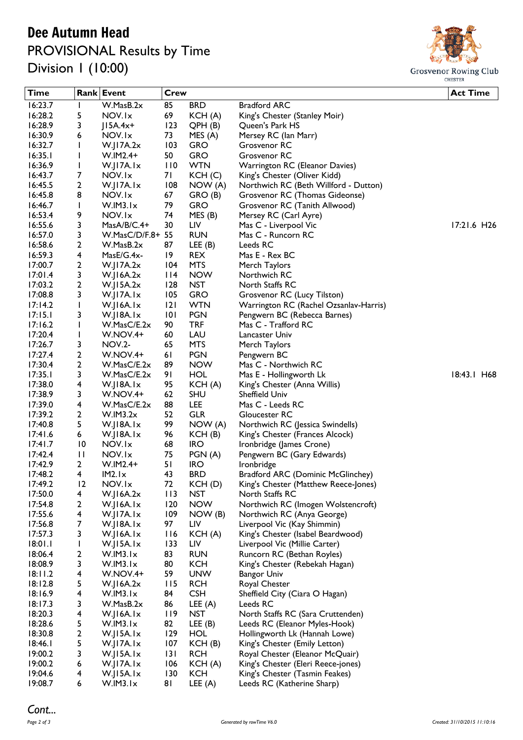## Dee Autumn Head PROVISIONAL Results by Time

Division 1 (10:00)



| <b>Time</b>        |                    | Rank Event                      | Crew      |                          |                                                     | <b>Act Time</b>           |
|--------------------|--------------------|---------------------------------|-----------|--------------------------|-----------------------------------------------------|---------------------------|
| 16:23.7            | $\mathbf{I}$       | W.MasB.2x                       | 85        | <b>BRD</b>               | <b>Bradford ARC</b>                                 |                           |
| 16:28.2            | 5                  | NOV.Ix                          | 69        | KCH(A)                   | King's Chester (Stanley Moir)                       |                           |
| 16:28.9            | 3                  | $J15A.4x+$                      | 123       | QPH(B)                   | Queen's Park HS                                     |                           |
| 16:30.9            | 6                  | NOV.Ix                          | 73        | MES(A)                   | Mersey RC (lan Marr)                                |                           |
| 16:32.7            | J.                 | W.I17A.2x                       | 103       | <b>GRO</b>               | Grosvenor RC                                        |                           |
| 16:35.1            | $\mathbf{I}$       | $W.IM2.4+$                      | 50        | <b>GRO</b>               | Grosvenor RC                                        |                           |
| 16:36.9            | $\mathbf{I}$       | W.JI7A.Ix                       | 110       | <b>WTN</b>               | Warrington RC (Eleanor Davies)                      |                           |
| 16:43.7            | 7                  | NOV.Ix                          | 7 I       | KCH(C)                   | King's Chester (Oliver Kidd)                        |                           |
| 16:45.5            | 2                  | W.JI7A.Ix                       | 108       | NOW(A)                   | Northwich RC (Beth Willford - Dutton)               |                           |
| 16:45.8            | 8                  | NOV.Ix                          | 67        | GRO (B)                  | Grosvenor RC (Thomas Gideonse)                      |                           |
| 16:46.7            | J.                 | W.IM3.Ix                        | 79        | <b>GRO</b>               | Grosvenor RC (Tanith Allwood)                       |                           |
| 16:53.4            | 9                  | NOV.Ix                          | 74        | MES(B)                   | Mersey RC (Carl Ayre)                               |                           |
| 16:55.6            | 3                  | $MasA/B/C.4+$                   | 30        | LIV                      | Mas C - Liverpool Vic                               | $17:21.6$ H <sub>26</sub> |
| 16:57.0            | 3                  | W.MasC/D/F.8+ 55                |           | <b>RUN</b>               | Mas C - Runcorn RC                                  |                           |
| 16:58.6            | 2                  | W.MasB.2x                       | 87        | LEE(B)                   | Leeds RC                                            |                           |
| 16:59.3            | 4                  | $MasE/G.4x-$                    | 19        | <b>REX</b>               | Mas E - Rex BC                                      |                           |
| 17:00.7            | 2                  | $W$ .JI7A.2x                    | 104       | <b>MTS</b>               | Merch Taylors                                       |                           |
| 17:01.4            | 3                  | $W$ .JI6A.2 $x$                 | $ $  4    | <b>NOW</b>               | Northwich RC                                        |                           |
| 17:03.2            | 2                  | W.JI5A.2x                       | 128       | <b>NST</b>               | North Staffs RC                                     |                           |
| 17:08.8            | 3                  | $W$ . $ 17A.1x $                | 105       | <b>GRO</b>               | Grosvenor RC (Lucy Tilston)                         |                           |
| 17:14.2            | $\mathbf{I}$       | W.JI6A.Ix                       | 2         | <b>WTN</b>               | Warrington RC (Rachel Ozsanlav-Harris)              |                           |
| 17:15.1<br>17:16.2 | 3                  | $W$ .JI $8A$ .Ix<br>W.MasC/E.2x | 0 <br>90  | <b>PGN</b><br><b>TRF</b> | Pengwern BC (Rebecca Barnes)<br>Mas C - Trafford RC |                           |
| 17:20.4            | J.<br>$\mathbf{I}$ | W.NOV.4+                        | 60        | LAU                      | Lancaster Univ                                      |                           |
| 17:26.7            | 3                  | <b>NOV.2-</b>                   | 65        | <b>MTS</b>               | Merch Taylors                                       |                           |
| 17:27.4            | 2                  | W.NOV.4+                        | 61        | <b>PGN</b>               | Pengwern BC                                         |                           |
| 17:30.4            | 2                  | W.MasC/E.2x                     | 89        | <b>NOW</b>               | Mas C - Northwich RC                                |                           |
| 17:35.1            | 3                  | W.MasC/E.2x                     | 91        | <b>HOL</b>               | Mas E - Hollingworth Lk                             | 18:43.1 H68               |
| 17:38.0            | 4                  | $W$ .JI $8A$ .Ix                | 95        | KCH (A)                  | King's Chester (Anna Willis)                        |                           |
| 17:38.9            | 3                  | W.NOV.4+                        | 62        | <b>SHU</b>               | Sheffield Univ                                      |                           |
| 17:39.0            | 4                  | W.MasC/E.2x                     | 88        | LEE                      | Mas C - Leeds RC                                    |                           |
| 17:39.2            | $\overline{2}$     | W.IM3.2x                        | 52        | <b>GLR</b>               | Gloucester RC                                       |                           |
| 17:40.8            | 5                  | W.JI8A.Ix                       | 99        | NOW(A)                   | Northwich RC (Jessica Swindells)                    |                           |
| 17:41.6            | 6                  | W.JI8A.Ix                       | 96        | KCH(B)                   | King's Chester (Frances Alcock)                     |                           |
| 17:41.7            | $\overline{10}$    | NOV.Ix                          | 68        | <b>IRO</b>               | Ironbridge (James Crone)                            |                           |
| 17:42.4            | $\mathbf{H}$       | NOV.Ix                          | 75        | PGN(A)                   | Pengwern BC (Gary Edwards)                          |                           |
| 17:42.9            | 2                  | $W.IM2.4+$                      | 51        | <b>IRO</b>               | Ironbridge                                          |                           |
| 17:48.2            | 4                  | IM2.1x                          | 43        | <b>BRD</b>               | Bradford ARC (Dominic McGlinchey)                   |                           |
| 17:49.2            | 12                 | NOV.Ix                          | 72        | KCH(D)                   | King's Chester (Matthew Reece-Jones)                |                           |
| 17:50.0            | 4                  | $W$ .JI6A.2 $x$                 | 113       | <b>NST</b>               | North Staffs RC                                     |                           |
| 17:54.8            | 2                  | W.JI6A.Ix                       | 120       | <b>NOW</b>               | Northwich RC (Imogen Wolstencroft)                  |                           |
| 17:55.6            | 4                  | W.JI7A.Ix                       | 109       | NOW (B)                  | Northwich RC (Anya George)                          |                           |
| 17:56.8            | 7                  | W.JI8A.Ix                       | 97        | LIV                      | Liverpool Vic (Kay Shimmin)                         |                           |
| 17:57.3            | 3                  | W.JI6A.Ix                       | 116       | KCH (A)                  | King's Chester (Isabel Beardwood)                   |                           |
| 18:01.1            | L                  | $W$ .JI $5A$ .Ix                | 133       | LIV                      | Liverpool Vic (Millie Carter)                       |                           |
| 18:06.4            | 2                  | W.IM3.Ix                        | 83        | <b>RUN</b>               | Runcorn RC (Bethan Royles)                          |                           |
| 18:08.9            | 3                  | W.IM3.Ix                        | 80        | <b>KCH</b>               | King's Chester (Rebekah Hagan)                      |                           |
| 18:11.2<br>18:12.8 | 4<br>5             | W.NOV.4+                        | 59<br>115 | <b>UNW</b><br><b>RCH</b> | <b>Bangor Univ</b>                                  |                           |
| 18:16.9            | 4                  | W.JI6A.2x<br>W.IM3.Ix           | 84        | <b>CSH</b>               | Royal Chester<br>Sheffield City (Ciara O Hagan)     |                           |
| 18:17.3            | 3                  | W.MasB.2x                       | 86        | LEE $(A)$                | Leeds RC                                            |                           |
| 18:20.3            | 4                  | W.JI6A.Ix                       | 119       | <b>NST</b>               | North Staffs RC (Sara Cruttenden)                   |                           |
| 18:28.6            | 5                  | W.IM3.Ix                        | 82        | LEE $(B)$                | Leeds RC (Eleanor Myles-Hook)                       |                           |
| 18:30.8            | 2                  | $W$ .JISA.Ix                    | 129       | <b>HOL</b>               | Hollingworth Lk (Hannah Lowe)                       |                           |
| 18:46.1            | 5                  | W.JI7A.Ix                       | 107       | KCH(B)                   | King's Chester (Emily Letton)                       |                           |
| 19:00.2            | 3                  | $W$ .JISA.Ix                    | 3         | <b>RCH</b>               | Royal Chester (Eleanor McQuair)                     |                           |
| 19:00.2            | 6                  | W.JI7A.Ix                       | 106       | KCH (A)                  | King's Chester (Eleri Reece-jones)                  |                           |
| 19:04.6            | 4                  | W.JI5A.Ix                       | 130       | <b>KCH</b>               | King's Chester (Tasmin Feakes)                      |                           |
| 19:08.7            | 6                  | W.IM3.Ix                        | 81        | LEE $(A)$                | Leeds RC (Katherine Sharp)                          |                           |
|                    |                    |                                 |           |                          |                                                     |                           |

## *Cont...*<br>Page 2 of 3